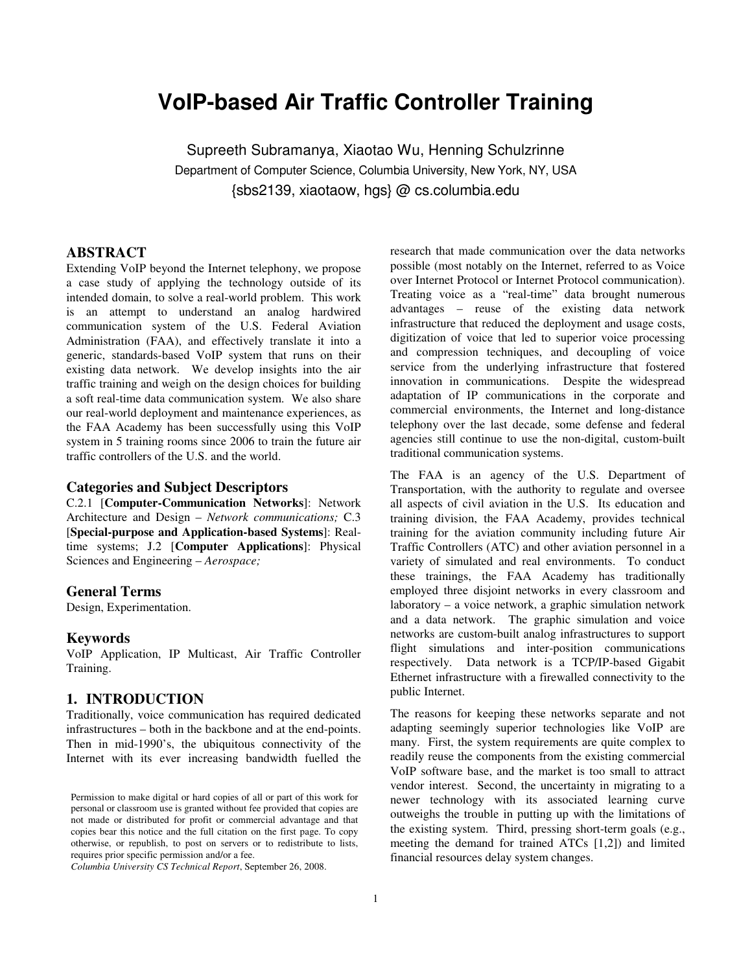# **VoIP-based Air Traffic Controller Training**

Supreeth Subramanya, Xiaotao Wu, Henning Schulzrinne Department of Computer Science, Columbia University, New York, NY, USA {sbs2139, xiaotaow, hgs} @ cs.columbia.edu

# **ABSTRACT**

Extending VoIP beyond the Internet telephony, we propose a case study of applying the technology outside of its intended domain, to solve a real-world problem. This work is an attempt to understand an analog hardwired communication system of the U.S. Federal Aviation Administration (FAA), and effectively translate it into a generic, standards-based VoIP system that runs on their existing data network. We develop insights into the air traffic training and weigh on the design choices for building a soft real-time data communication system. We also share our real-world deployment and maintenance experiences, as the FAA Academy has been successfully using this VoIP system in 5 training rooms since 2006 to train the future air traffic controllers of the U.S. and the world.

# **Categories and Subject Descriptors**

C.2.1 [**Computer-Communication Networks**]: Network Architecture and Design – *Network communications;* C.3 [**Special-purpose and Application-based Systems**]: Realtime systems; J.2 [**Computer Applications**]: Physical Sciences and Engineering – *Aerospace;* 

#### **General Terms**

Design, Experimentation.

#### **Keywords**

VoIP Application, IP Multicast, Air Traffic Controller Training.

### **1. INTRODUCTION**

Traditionally, voice communication has required dedicated infrastructures – both in the backbone and at the end-points. Then in mid-1990's, the ubiquitous connectivity of the Internet with its ever increasing bandwidth fuelled the

*Columbia University CS Technical Report*, September 26, 2008.

research that made communication over the data networks possible (most notably on the Internet, referred to as Voice over Internet Protocol or Internet Protocol communication). Treating voice as a "real-time" data brought numerous advantages – reuse of the existing data network infrastructure that reduced the deployment and usage costs, digitization of voice that led to superior voice processing and compression techniques, and decoupling of voice service from the underlying infrastructure that fostered innovation in communications. Despite the widespread adaptation of IP communications in the corporate and commercial environments, the Internet and long-distance telephony over the last decade, some defense and federal agencies still continue to use the non-digital, custom-built traditional communication systems.

The FAA is an agency of the U.S. Department of Transportation, with the authority to regulate and oversee all aspects of civil aviation in the U.S. Its education and training division, the FAA Academy, provides technical training for the aviation community including future Air Traffic Controllers (ATC) and other aviation personnel in a variety of simulated and real environments. To conduct these trainings, the FAA Academy has traditionally employed three disjoint networks in every classroom and laboratory – a voice network, a graphic simulation network and a data network. The graphic simulation and voice networks are custom-built analog infrastructures to support flight simulations and inter-position communications respectively. Data network is a TCP/IP-based Gigabit Ethernet infrastructure with a firewalled connectivity to the public Internet.

The reasons for keeping these networks separate and not adapting seemingly superior technologies like VoIP are many. First, the system requirements are quite complex to readily reuse the components from the existing commercial VoIP software base, and the market is too small to attract vendor interest. Second, the uncertainty in migrating to a newer technology with its associated learning curve outweighs the trouble in putting up with the limitations of the existing system. Third, pressing short-term goals (e.g., meeting the demand for trained ATCs [1,2]) and limited financial resources delay system changes.

Permission to make digital or hard copies of all or part of this work for personal or classroom use is granted without fee provided that copies are not made or distributed for profit or commercial advantage and that copies bear this notice and the full citation on the first page. To copy otherwise, or republish, to post on servers or to redistribute to lists, requires prior specific permission and/or a fee.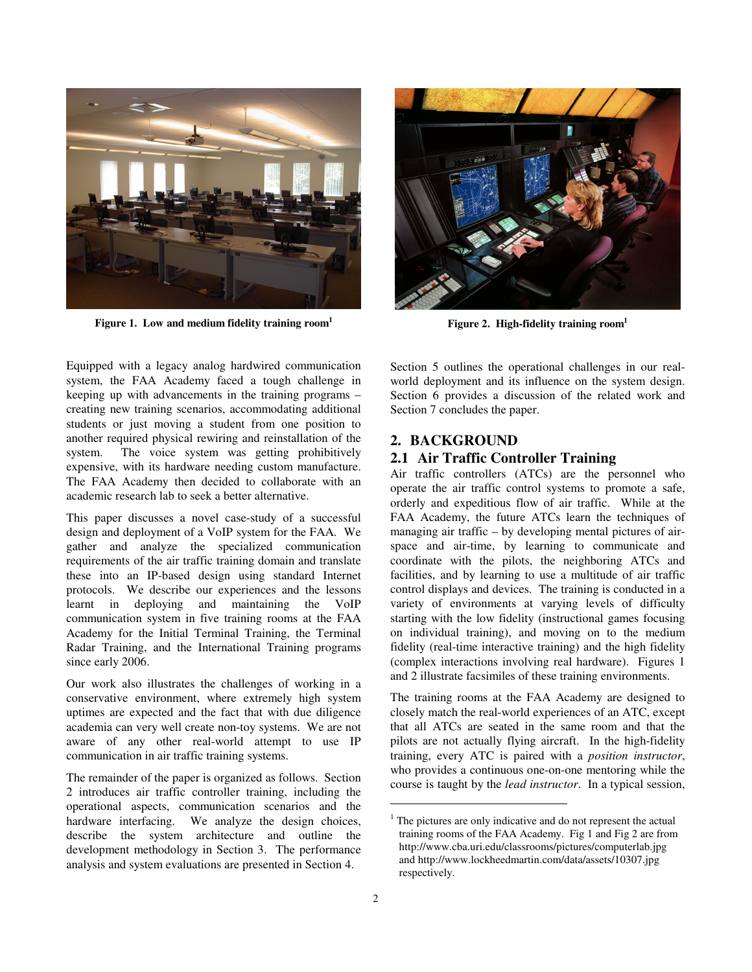

**Figure 1. Low and medium fidelity training room<sup>1</sup>**

Equipped with a legacy analog hardwired communication system, the FAA Academy faced a tough challenge in keeping up with advancements in the training programs – creating new training scenarios, accommodating additional students or just moving a student from one position to another required physical rewiring and reinstallation of the system. The voice system was getting prohibitively expensive, with its hardware needing custom manufacture. The FAA Academy then decided to collaborate with an academic research lab to seek a better alternative.

This paper discusses a novel case-study of a successful design and deployment of a VoIP system for the FAA. We gather and analyze the specialized communication requirements of the air traffic training domain and translate these into an IP-based design using standard Internet protocols. We describe our experiences and the lessons learnt in deploying and maintaining the VoIP communication system in five training rooms at the FAA Academy for the Initial Terminal Training, the Terminal Radar Training, and the International Training programs since early 2006.

Our work also illustrates the challenges of working in a conservative environment, where extremely high system uptimes are expected and the fact that with due diligence academia can very well create non-toy systems. We are not aware of any other real-world attempt to use IP communication in air traffic training systems.

The remainder of the paper is organized as follows. Section 2 introduces air traffic controller training, including the operational aspects, communication scenarios and the hardware interfacing. We analyze the design choices, describe the system architecture and outline the development methodology in Section 3. The performance analysis and system evaluations are presented in Section 4.



**Figure 2. High-fidelity training room<sup>1</sup>**

Section 5 outlines the operational challenges in our realworld deployment and its influence on the system design. Section 6 provides a discussion of the related work and Section 7 concludes the paper.

# **2. BACKGROUND**

# **2.1 Air Traffic Controller Training**

Air traffic controllers (ATCs) are the personnel who operate the air traffic control systems to promote a safe, orderly and expeditious flow of air traffic. While at the FAA Academy, the future ATCs learn the techniques of managing air traffic – by developing mental pictures of airspace and air-time, by learning to communicate and coordinate with the pilots, the neighboring ATCs and facilities, and by learning to use a multitude of air traffic control displays and devices. The training is conducted in a variety of environments at varying levels of difficulty starting with the low fidelity (instructional games focusing on individual training), and moving on to the medium fidelity (real-time interactive training) and the high fidelity (complex interactions involving real hardware). Figures 1 and 2 illustrate facsimiles of these training environments.

The training rooms at the FAA Academy are designed to closely match the real-world experiences of an ATC, except that all ATCs are seated in the same room and that the pilots are not actually flying aircraft. In the high-fidelity training, every ATC is paired with a *position instructor*, who provides a continuous one-on-one mentoring while the course is taught by the *lead instructor*. In a typical session,

1

<sup>&</sup>lt;sup>1</sup> The pictures are only indicative and do not represent the actual training rooms of the FAA Academy. Fig 1 and Fig 2 are from http://www.cba.uri.edu/classrooms/pictures/computerlab.jpg and http://www.lockheedmartin.com/data/assets/10307.jpg respectively.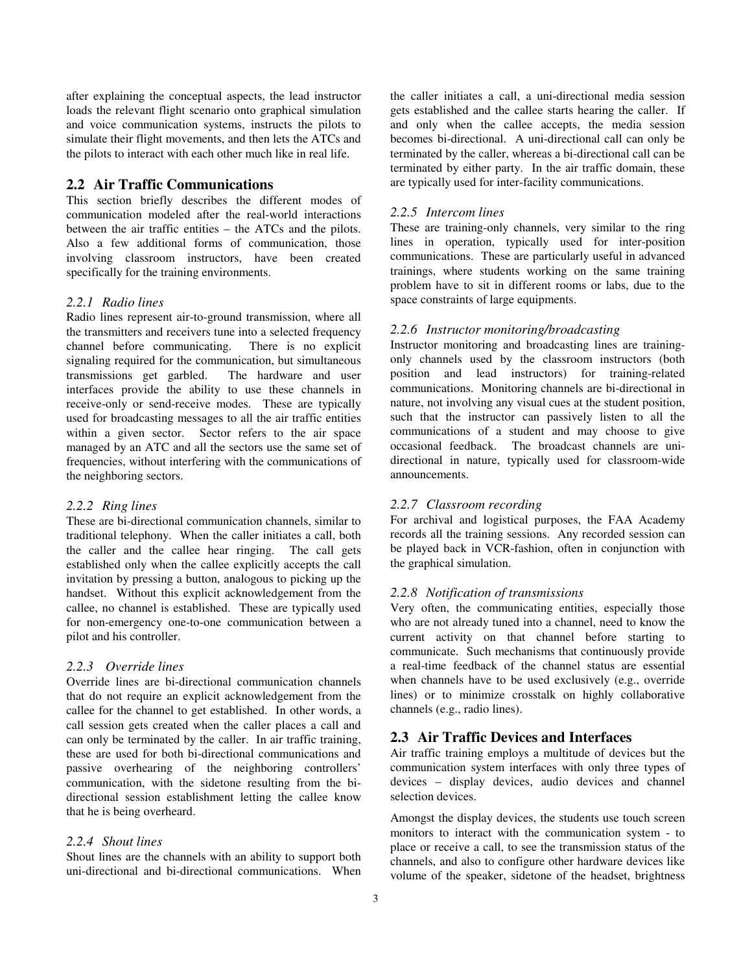after explaining the conceptual aspects, the lead instructor loads the relevant flight scenario onto graphical simulation and voice communication systems, instructs the pilots to simulate their flight movements, and then lets the ATCs and the pilots to interact with each other much like in real life.

### **2.2 Air Traffic Communications**

This section briefly describes the different modes of communication modeled after the real-world interactions between the air traffic entities – the ATCs and the pilots. Also a few additional forms of communication, those involving classroom instructors, have been created specifically for the training environments.

### *2.2.1 Radio lines*

Radio lines represent air-to-ground transmission, where all the transmitters and receivers tune into a selected frequency channel before communicating. There is no explicit signaling required for the communication, but simultaneous transmissions get garbled. The hardware and user interfaces provide the ability to use these channels in receive-only or send-receive modes. These are typically used for broadcasting messages to all the air traffic entities within a given sector. Sector refers to the air space managed by an ATC and all the sectors use the same set of frequencies, without interfering with the communications of the neighboring sectors.

### *2.2.2 Ring lines*

These are bi-directional communication channels, similar to traditional telephony. When the caller initiates a call, both the caller and the callee hear ringing. The call gets established only when the callee explicitly accepts the call invitation by pressing a button, analogous to picking up the handset. Without this explicit acknowledgement from the callee, no channel is established. These are typically used for non-emergency one-to-one communication between a pilot and his controller.

# *2.2.3 Override lines*

Override lines are bi-directional communication channels that do not require an explicit acknowledgement from the callee for the channel to get established. In other words, a call session gets created when the caller places a call and can only be terminated by the caller. In air traffic training, these are used for both bi-directional communications and passive overhearing of the neighboring controllers' communication, with the sidetone resulting from the bidirectional session establishment letting the callee know that he is being overheard.

#### *2.2.4 Shout lines*

Shout lines are the channels with an ability to support both uni-directional and bi-directional communications. When

the caller initiates a call, a uni-directional media session gets established and the callee starts hearing the caller. If and only when the callee accepts, the media session becomes bi-directional. A uni-directional call can only be terminated by the caller, whereas a bi-directional call can be terminated by either party. In the air traffic domain, these are typically used for inter-facility communications.

#### *2.2.5 Intercom lines*

These are training-only channels, very similar to the ring lines in operation, typically used for inter-position communications. These are particularly useful in advanced trainings, where students working on the same training problem have to sit in different rooms or labs, due to the space constraints of large equipments.

### *2.2.6 Instructor monitoring/broadcasting*

Instructor monitoring and broadcasting lines are trainingonly channels used by the classroom instructors (both position and lead instructors) for training-related communications. Monitoring channels are bi-directional in nature, not involving any visual cues at the student position, such that the instructor can passively listen to all the communications of a student and may choose to give occasional feedback. The broadcast channels are unidirectional in nature, typically used for classroom-wide announcements.

# *2.2.7 Classroom recording*

For archival and logistical purposes, the FAA Academy records all the training sessions. Any recorded session can be played back in VCR-fashion, often in conjunction with the graphical simulation.

### *2.2.8 Notification of transmissions*

Very often, the communicating entities, especially those who are not already tuned into a channel, need to know the current activity on that channel before starting to communicate. Such mechanisms that continuously provide a real-time feedback of the channel status are essential when channels have to be used exclusively (e.g., override lines) or to minimize crosstalk on highly collaborative channels (e.g., radio lines).

# **2.3 Air Traffic Devices and Interfaces**

Air traffic training employs a multitude of devices but the communication system interfaces with only three types of devices – display devices, audio devices and channel selection devices.

Amongst the display devices, the students use touch screen monitors to interact with the communication system - to place or receive a call, to see the transmission status of the channels, and also to configure other hardware devices like volume of the speaker, sidetone of the headset, brightness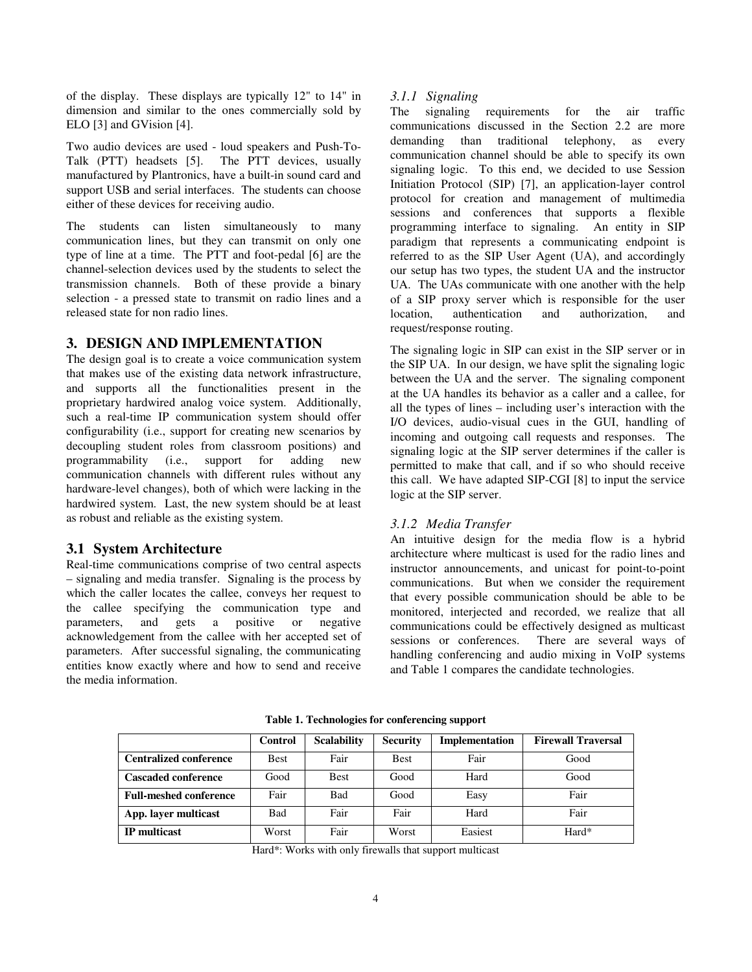of the display. These displays are typically 12" to 14" in dimension and similar to the ones commercially sold by ELO [3] and GVision [4].

Two audio devices are used - loud speakers and Push-To-Talk (PTT) headsets [5]. The PTT devices, usually manufactured by Plantronics, have a built-in sound card and support USB and serial interfaces. The students can choose either of these devices for receiving audio.

The students can listen simultaneously to many communication lines, but they can transmit on only one type of line at a time. The PTT and foot-pedal [6] are the channel-selection devices used by the students to select the transmission channels. Both of these provide a binary selection - a pressed state to transmit on radio lines and a released state for non radio lines.

# **3. DESIGN AND IMPLEMENTATION**

The design goal is to create a voice communication system that makes use of the existing data network infrastructure, and supports all the functionalities present in the proprietary hardwired analog voice system. Additionally, such a real-time IP communication system should offer configurability (i.e., support for creating new scenarios by decoupling student roles from classroom positions) and programmability (i.e., support for adding new communication channels with different rules without any hardware-level changes), both of which were lacking in the hardwired system. Last, the new system should be at least as robust and reliable as the existing system.

# **3.1 System Architecture**

Real-time communications comprise of two central aspects – signaling and media transfer. Signaling is the process by which the caller locates the callee, conveys her request to the callee specifying the communication type and parameters, and gets a positive or negative acknowledgement from the callee with her accepted set of parameters. After successful signaling, the communicating entities know exactly where and how to send and receive the media information.

# *3.1.1 Signaling*

The signaling requirements for the air traffic communications discussed in the Section 2.2 are more demanding than traditional telephony, as every communication channel should be able to specify its own signaling logic. To this end, we decided to use Session Initiation Protocol (SIP) [7], an application-layer control protocol for creation and management of multimedia sessions and conferences that supports a flexible programming interface to signaling. An entity in SIP paradigm that represents a communicating endpoint is referred to as the SIP User Agent (UA), and accordingly our setup has two types, the student UA and the instructor UA. The UAs communicate with one another with the help of a SIP proxy server which is responsible for the user location, authentication and authorization, and request/response routing.

The signaling logic in SIP can exist in the SIP server or in the SIP UA. In our design, we have split the signaling logic between the UA and the server. The signaling component at the UA handles its behavior as a caller and a callee, for all the types of lines – including user's interaction with the I/O devices, audio-visual cues in the GUI, handling of incoming and outgoing call requests and responses. The signaling logic at the SIP server determines if the caller is permitted to make that call, and if so who should receive this call. We have adapted SIP-CGI [8] to input the service logic at the SIP server.

# *3.1.2 Media Transfer*

An intuitive design for the media flow is a hybrid architecture where multicast is used for the radio lines and instructor announcements, and unicast for point-to-point communications. But when we consider the requirement that every possible communication should be able to be monitored, interjected and recorded, we realize that all communications could be effectively designed as multicast sessions or conferences. There are several ways of handling conferencing and audio mixing in VoIP systems and Table 1 compares the candidate technologies.

|                               | Control     | <b>Scalability</b> | <b>Security</b> | Implementation | <b>Firewall Traversal</b> |
|-------------------------------|-------------|--------------------|-----------------|----------------|---------------------------|
| <b>Centralized conference</b> | <b>Best</b> | Fair               | <b>Best</b>     | Fair           | Good                      |
| <b>Cascaded conference</b>    | Good        | <b>Best</b>        | Good            | Hard           | Good                      |
| <b>Full-meshed conference</b> | Fair        | <b>Bad</b>         | Good            | Easy           | Fair                      |
| App. layer multicast          | <b>Bad</b>  | Fair               | Fair            | Hard           | Fair                      |
| <b>IP</b> multicast           | Worst       | Fair               | Worst           | Easiest        | Hard*                     |

**Table 1. Technologies for conferencing support** 

Hard\*: Works with only firewalls that support multicast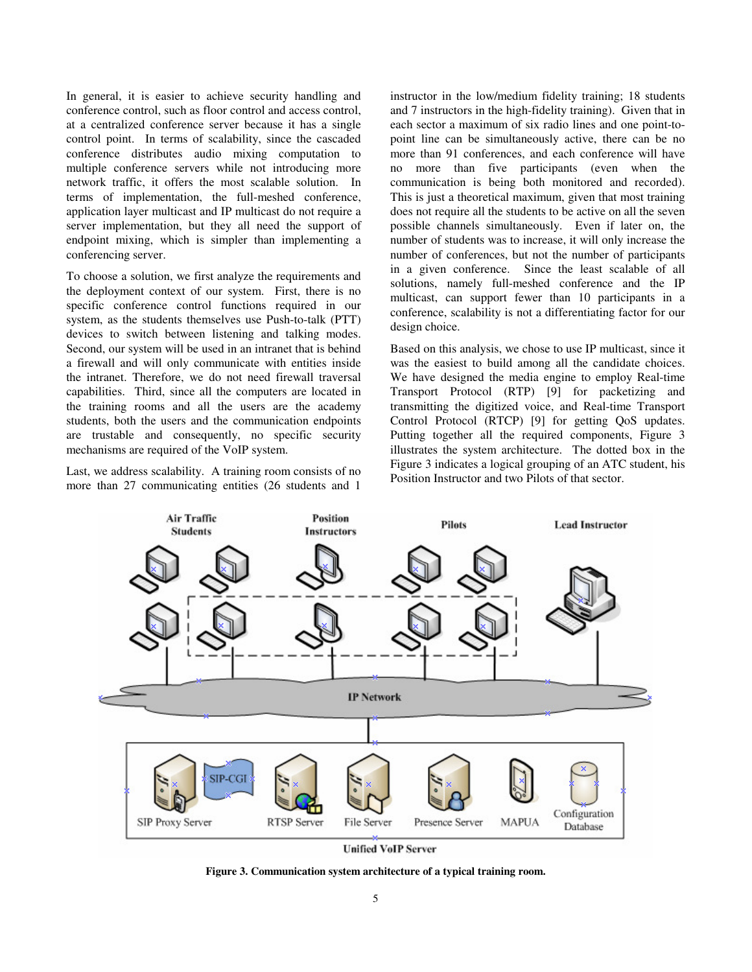In general, it is easier to achieve security handling and conference control, such as floor control and access control, at a centralized conference server because it has a single control point. In terms of scalability, since the cascaded conference distributes audio mixing computation to multiple conference servers while not introducing more network traffic, it offers the most scalable solution. In terms of implementation, the full-meshed conference, application layer multicast and IP multicast do not require a server implementation, but they all need the support of endpoint mixing, which is simpler than implementing a conferencing server.

To choose a solution, we first analyze the requirements and the deployment context of our system. First, there is no specific conference control functions required in our system, as the students themselves use Push-to-talk (PTT) devices to switch between listening and talking modes. Second, our system will be used in an intranet that is behind a firewall and will only communicate with entities inside the intranet. Therefore, we do not need firewall traversal capabilities. Third, since all the computers are located in the training rooms and all the users are the academy students, both the users and the communication endpoints are trustable and consequently, no specific security mechanisms are required of the VoIP system.

Last, we address scalability. A training room consists of no more than 27 communicating entities (26 students and 1

instructor in the low/medium fidelity training; 18 students and 7 instructors in the high-fidelity training). Given that in each sector a maximum of six radio lines and one point-topoint line can be simultaneously active, there can be no more than 91 conferences, and each conference will have no more than five participants (even when the communication is being both monitored and recorded). This is just a theoretical maximum, given that most training does not require all the students to be active on all the seven possible channels simultaneously. Even if later on, the number of students was to increase, it will only increase the number of conferences, but not the number of participants in a given conference. Since the least scalable of all solutions, namely full-meshed conference and the IP multicast, can support fewer than 10 participants in a conference, scalability is not a differentiating factor for our design choice.

Based on this analysis, we chose to use IP multicast, since it was the easiest to build among all the candidate choices. We have designed the media engine to employ Real-time Transport Protocol (RTP) [9] for packetizing and transmitting the digitized voice, and Real-time Transport Control Protocol (RTCP) [9] for getting QoS updates. Putting together all the required components, Figure 3 illustrates the system architecture. The dotted box in the Figure 3 indicates a logical grouping of an ATC student, his Position Instructor and two Pilots of that sector.



**Unified VoIP Server** 

**Figure 3. Communication system architecture of a typical training room.**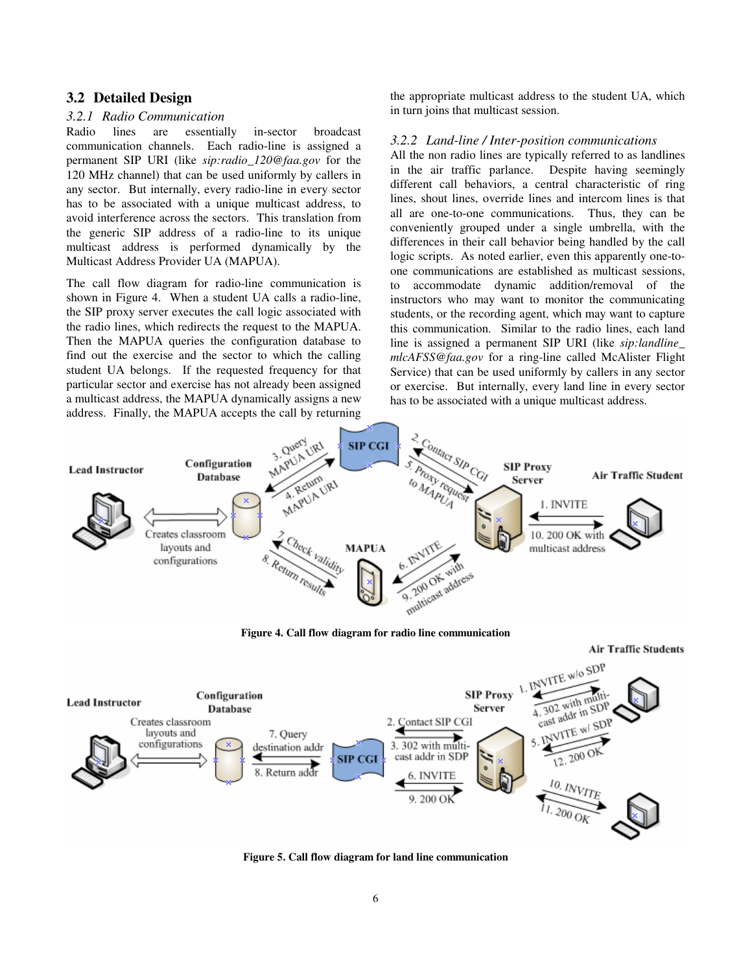### **3.2 Detailed Design**

### *3.2.1 Radio Communication*

Radio lines are essentially in-sector broadcast communication channels. Each radio-line is assigned a permanent SIP URI (like *sip:radio\_120@faa.gov* for the 120 MHz channel) that can be used uniformly by callers in any sector. But internally, every radio-line in every sector has to be associated with a unique multicast address, to avoid interference across the sectors. This translation from the generic SIP address of a radio-line to its unique multicast address is performed dynamically by the Multicast Address Provider UA (MAPUA).

The call flow diagram for radio-line communication is shown in Figure 4. When a student UA calls a radio-line, the SIP proxy server executes the call logic associated with the radio lines, which redirects the request to the MAPUA. Then the MAPUA queries the configuration database to find out the exercise and the sector to which the calling student UA belongs. If the requested frequency for that particular sector and exercise has not already been assigned a multicast address, the MAPUA dynamically assigns a new address. Finally, the MAPUA accepts the call by returning the appropriate multicast address to the student UA, which in turn joins that multicast session.

### *3.2.2 Land-line / Inter-position communications*

All the non radio lines are typically referred to as landlines in the air traffic parlance. Despite having seemingly different call behaviors, a central characteristic of ring lines, shout lines, override lines and intercom lines is that all are one-to-one communications. Thus, they can be conveniently grouped under a single umbrella, with the differences in their call behavior being handled by the call logic scripts. As noted earlier, even this apparently one-toone communications are established as multicast sessions, to accommodate dynamic addition/removal of the instructors who may want to monitor the communicating students, or the recording agent, which may want to capture this communication. Similar to the radio lines, each land line is assigned a permanent SIP URI (like *sip:landline\_ mlcAFSS@faa.gov* for a ring-line called McAlister Flight Service) that can be used uniformly by callers in any sector or exercise. But internally, every land line in every sector has to be associated with a unique multicast address.



**Figure 4. Call flow diagram for radio line communication** 

**Air Traffic Students** 



**Figure 5. Call flow diagram for land line communication**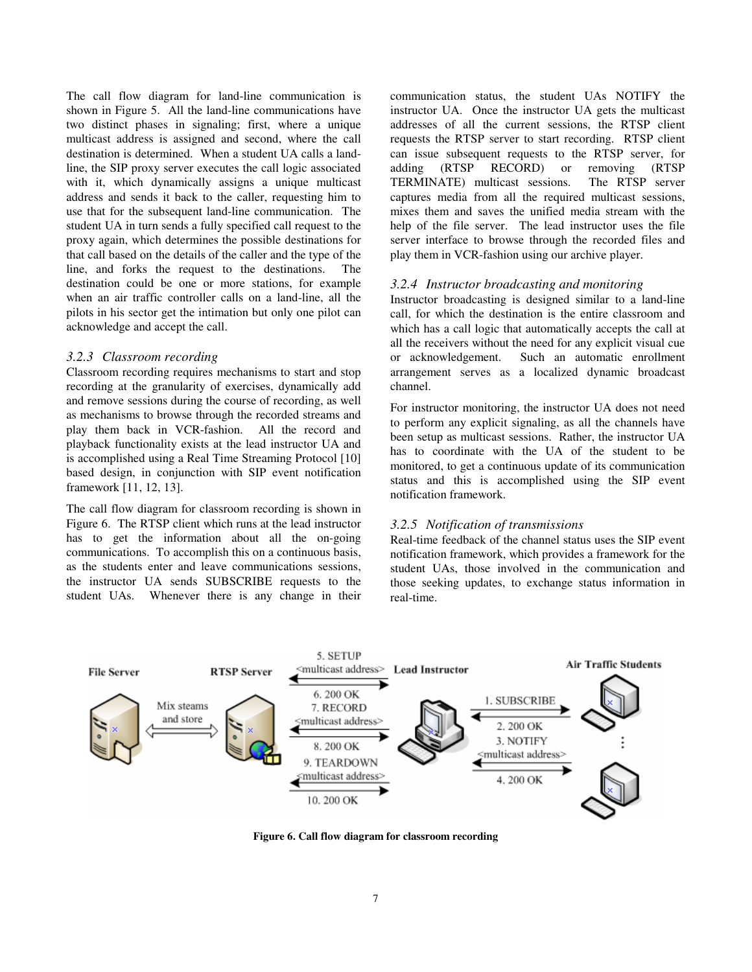The call flow diagram for land-line communication is shown in Figure 5. All the land-line communications have two distinct phases in signaling; first, where a unique multicast address is assigned and second, where the call destination is determined. When a student UA calls a landline, the SIP proxy server executes the call logic associated with it, which dynamically assigns a unique multicast address and sends it back to the caller, requesting him to use that for the subsequent land-line communication. The student UA in turn sends a fully specified call request to the proxy again, which determines the possible destinations for that call based on the details of the caller and the type of the line, and forks the request to the destinations. The destination could be one or more stations, for example when an air traffic controller calls on a land-line, all the pilots in his sector get the intimation but only one pilot can acknowledge and accept the call.

### *3.2.3 Classroom recording*

Classroom recording requires mechanisms to start and stop recording at the granularity of exercises, dynamically add and remove sessions during the course of recording, as well as mechanisms to browse through the recorded streams and play them back in VCR-fashion. All the record and playback functionality exists at the lead instructor UA and is accomplished using a Real Time Streaming Protocol [10] based design, in conjunction with SIP event notification framework [11, 12, 13].

The call flow diagram for classroom recording is shown in Figure 6. The RTSP client which runs at the lead instructor has to get the information about all the on-going communications. To accomplish this on a continuous basis, as the students enter and leave communications sessions, the instructor UA sends SUBSCRIBE requests to the student UAs. Whenever there is any change in their communication status, the student UAs NOTIFY the instructor UA. Once the instructor UA gets the multicast addresses of all the current sessions, the RTSP client requests the RTSP server to start recording. RTSP client can issue subsequent requests to the RTSP server, for adding (RTSP RECORD) or removing (RTSP TERMINATE) multicast sessions. The RTSP server captures media from all the required multicast sessions, mixes them and saves the unified media stream with the help of the file server. The lead instructor uses the file server interface to browse through the recorded files and play them in VCR-fashion using our archive player.

### *3.2.4 Instructor broadcasting and monitoring*

Instructor broadcasting is designed similar to a land-line call, for which the destination is the entire classroom and which has a call logic that automatically accepts the call at all the receivers without the need for any explicit visual cue or acknowledgement. Such an automatic enrollment arrangement serves as a localized dynamic broadcast channel.

For instructor monitoring, the instructor UA does not need to perform any explicit signaling, as all the channels have been setup as multicast sessions. Rather, the instructor UA has to coordinate with the UA of the student to be monitored, to get a continuous update of its communication status and this is accomplished using the SIP event notification framework.

### *3.2.5 Notification of transmissions*

Real-time feedback of the channel status uses the SIP event notification framework, which provides a framework for the student UAs, those involved in the communication and those seeking updates, to exchange status information in real-time.



**Figure 6. Call flow diagram for classroom recording**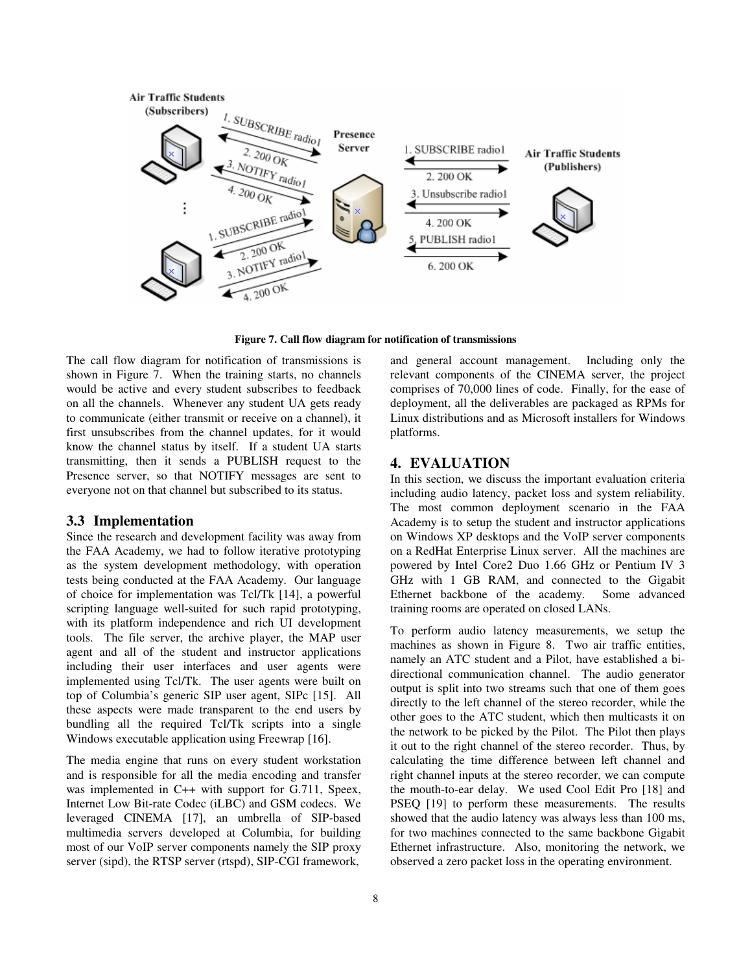

**Figure 7. Call flow diagram for notification of transmissions** 

The call flow diagram for notification of transmissions is shown in Figure 7. When the training starts, no channels would be active and every student subscribes to feedback on all the channels. Whenever any student UA gets ready to communicate (either transmit or receive on a channel), it first unsubscribes from the channel updates, for it would know the channel status by itself. If a student UA starts transmitting, then it sends a PUBLISH request to the Presence server, so that NOTIFY messages are sent to everyone not on that channel but subscribed to its status.

### **3.3 Implementation**

Since the research and development facility was away from the FAA Academy, we had to follow iterative prototyping as the system development methodology, with operation tests being conducted at the FAA Academy. Our language of choice for implementation was Tcl/Tk [14], a powerful scripting language well-suited for such rapid prototyping, with its platform independence and rich UI development tools. The file server, the archive player, the MAP user agent and all of the student and instructor applications including their user interfaces and user agents were implemented using Tcl/Tk. The user agents were built on top of Columbia's generic SIP user agent, SIPc [15]. All these aspects were made transparent to the end users by bundling all the required Tcl/Tk scripts into a single Windows executable application using Freewrap [16].

The media engine that runs on every student workstation and is responsible for all the media encoding and transfer was implemented in C++ with support for G.711, Speex, Internet Low Bit-rate Codec (iLBC) and GSM codecs. We leveraged CINEMA [17], an umbrella of SIP-based multimedia servers developed at Columbia, for building most of our VoIP server components namely the SIP proxy server (sipd), the RTSP server (rtspd), SIP-CGI framework,

and general account management. Including only the relevant components of the CINEMA server, the project comprises of 70,000 lines of code. Finally, for the ease of deployment, all the deliverables are packaged as RPMs for Linux distributions and as Microsoft installers for Windows platforms.

### **4. EVALUATION**

In this section, we discuss the important evaluation criteria including audio latency, packet loss and system reliability. The most common deployment scenario in the FAA Academy is to setup the student and instructor applications on Windows XP desktops and the VoIP server components on a RedHat Enterprise Linux server. All the machines are powered by Intel Core2 Duo 1.66 GHz or Pentium IV 3 GHz with 1 GB RAM, and connected to the Gigabit Ethernet backbone of the academy. Some advanced training rooms are operated on closed LANs.

To perform audio latency measurements, we setup the machines as shown in Figure 8. Two air traffic entities, namely an ATC student and a Pilot, have established a bidirectional communication channel. The audio generator output is split into two streams such that one of them goes directly to the left channel of the stereo recorder, while the other goes to the ATC student, which then multicasts it on the network to be picked by the Pilot. The Pilot then plays it out to the right channel of the stereo recorder. Thus, by calculating the time difference between left channel and right channel inputs at the stereo recorder, we can compute the mouth-to-ear delay. We used Cool Edit Pro [18] and PSEQ [19] to perform these measurements. The results showed that the audio latency was always less than 100 ms, for two machines connected to the same backbone Gigabit Ethernet infrastructure. Also, monitoring the network, we observed a zero packet loss in the operating environment.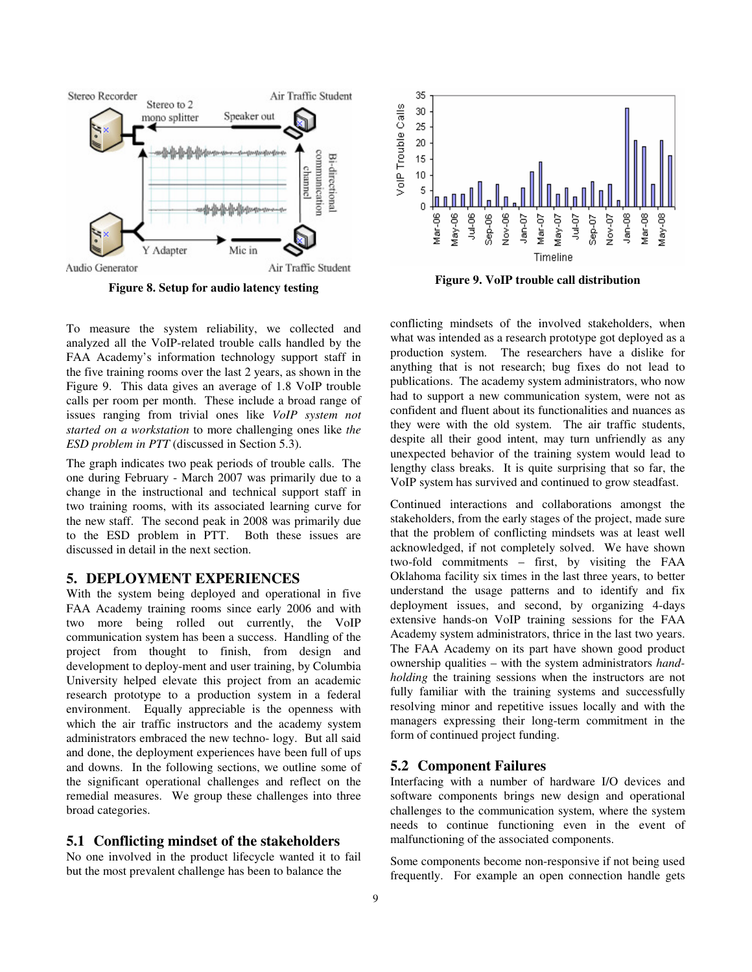

**Figure 8. Setup for audio latency testing** 



**Figure 9. VoIP trouble call distribution** 

To measure the system reliability, we collected and analyzed all the VoIP-related trouble calls handled by the FAA Academy's information technology support staff in the five training rooms over the last 2 years, as shown in the Figure 9. This data gives an average of 1.8 VoIP trouble calls per room per month. These include a broad range of issues ranging from trivial ones like *VoIP system not started on a workstation* to more challenging ones like *the ESD problem in PTT* (discussed in Section 5.3).

The graph indicates two peak periods of trouble calls. The one during February - March 2007 was primarily due to a change in the instructional and technical support staff in two training rooms, with its associated learning curve for the new staff. The second peak in 2008 was primarily due to the ESD problem in PTT. Both these issues are discussed in detail in the next section.

# **5. DEPLOYMENT EXPERIENCES**

With the system being deployed and operational in five FAA Academy training rooms since early 2006 and with two more being rolled out currently, the VoIP communication system has been a success. Handling of the project from thought to finish, from design and development to deploy-ment and user training, by Columbia University helped elevate this project from an academic research prototype to a production system in a federal environment. Equally appreciable is the openness with which the air traffic instructors and the academy system administrators embraced the new techno- logy. But all said and done, the deployment experiences have been full of ups and downs. In the following sections, we outline some of the significant operational challenges and reflect on the remedial measures. We group these challenges into three broad categories.

### **5.1 Conflicting mindset of the stakeholders**

No one involved in the product lifecycle wanted it to fail but the most prevalent challenge has been to balance the

conflicting mindsets of the involved stakeholders, when what was intended as a research prototype got deployed as a production system. The researchers have a dislike for anything that is not research; bug fixes do not lead to publications. The academy system administrators, who now had to support a new communication system, were not as confident and fluent about its functionalities and nuances as they were with the old system. The air traffic students, despite all their good intent, may turn unfriendly as any unexpected behavior of the training system would lead to lengthy class breaks. It is quite surprising that so far, the VoIP system has survived and continued to grow steadfast.

Continued interactions and collaborations amongst the stakeholders, from the early stages of the project, made sure that the problem of conflicting mindsets was at least well acknowledged, if not completely solved. We have shown two-fold commitments – first, by visiting the FAA Oklahoma facility six times in the last three years, to better understand the usage patterns and to identify and fix deployment issues, and second, by organizing 4-days extensive hands-on VoIP training sessions for the FAA Academy system administrators, thrice in the last two years. The FAA Academy on its part have shown good product ownership qualities – with the system administrators *handholding* the training sessions when the instructors are not fully familiar with the training systems and successfully resolving minor and repetitive issues locally and with the managers expressing their long-term commitment in the form of continued project funding.

#### **5.2 Component Failures**

Interfacing with a number of hardware I/O devices and software components brings new design and operational challenges to the communication system, where the system needs to continue functioning even in the event of malfunctioning of the associated components.

Some components become non-responsive if not being used frequently. For example an open connection handle gets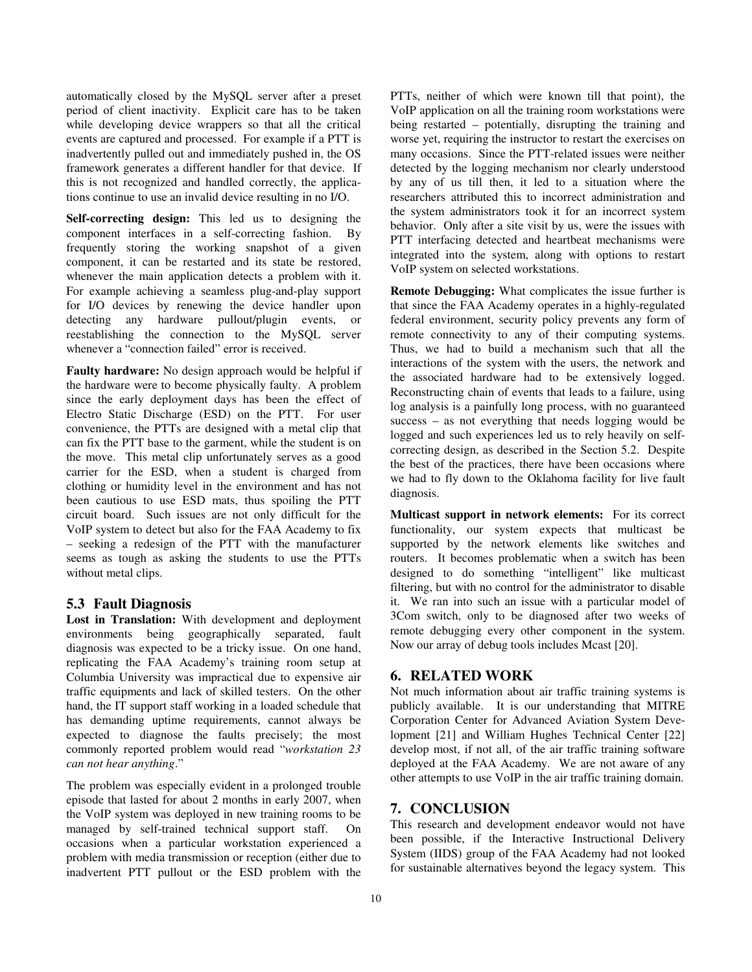automatically closed by the MySQL server after a preset period of client inactivity. Explicit care has to be taken while developing device wrappers so that all the critical events are captured and processed. For example if a PTT is inadvertently pulled out and immediately pushed in, the OS framework generates a different handler for that device. If this is not recognized and handled correctly, the applications continue to use an invalid device resulting in no I/O.

**Self-correcting design:** This led us to designing the component interfaces in a self-correcting fashion. frequently storing the working snapshot of a given component, it can be restarted and its state be restored, whenever the main application detects a problem with it. For example achieving a seamless plug-and-play support for I/O devices by renewing the device handler upon detecting any hardware pullout/plugin events, or reestablishing the connection to the MySQL server whenever a "connection failed" error is received.

**Faulty hardware:** No design approach would be helpful if the hardware were to become physically faulty. A problem since the early deployment days has been the effect of Electro Static Discharge (ESD) on the PTT. For user convenience, the PTTs are designed with a metal clip that can fix the PTT base to the garment, while the student is on the move. This metal clip unfortunately serves as a good carrier for the ESD, when a student is charged from clothing or humidity level in the environment and has not been cautious to use ESD mats, thus spoiling the PTT circuit board. Such issues are not only difficult for the VoIP system to detect but also for the FAA Academy to fix – seeking a redesign of the PTT with the manufacturer seems as tough as asking the students to use the PTTs without metal clips.

### **5.3 Fault Diagnosis**

**Lost in Translation:** With development and deployment environments being geographically separated, fault diagnosis was expected to be a tricky issue. On one hand, replicating the FAA Academy's training room setup at Columbia University was impractical due to expensive air traffic equipments and lack of skilled testers. On the other hand, the IT support staff working in a loaded schedule that has demanding uptime requirements, cannot always be expected to diagnose the faults precisely; the most commonly reported problem would read "*workstation 23 can not hear anything*."

The problem was especially evident in a prolonged trouble episode that lasted for about 2 months in early 2007, when the VoIP system was deployed in new training rooms to be managed by self-trained technical support staff. On occasions when a particular workstation experienced a problem with media transmission or reception (either due to inadvertent PTT pullout or the ESD problem with the

PTTs, neither of which were known till that point), the VoIP application on all the training room workstations were being restarted – potentially, disrupting the training and worse yet, requiring the instructor to restart the exercises on many occasions. Since the PTT-related issues were neither detected by the logging mechanism nor clearly understood by any of us till then, it led to a situation where the researchers attributed this to incorrect administration and the system administrators took it for an incorrect system behavior. Only after a site visit by us, were the issues with PTT interfacing detected and heartbeat mechanisms were integrated into the system, along with options to restart VoIP system on selected workstations.

**Remote Debugging:** What complicates the issue further is that since the FAA Academy operates in a highly-regulated federal environment, security policy prevents any form of remote connectivity to any of their computing systems. Thus, we had to build a mechanism such that all the interactions of the system with the users, the network and the associated hardware had to be extensively logged. Reconstructing chain of events that leads to a failure, using log analysis is a painfully long process, with no guaranteed success – as not everything that needs logging would be logged and such experiences led us to rely heavily on selfcorrecting design, as described in the Section 5.2. Despite the best of the practices, there have been occasions where we had to fly down to the Oklahoma facility for live fault diagnosis.

**Multicast support in network elements:** For its correct functionality, our system expects that multicast be supported by the network elements like switches and routers. It becomes problematic when a switch has been designed to do something "intelligent" like multicast filtering, but with no control for the administrator to disable it. We ran into such an issue with a particular model of 3Com switch, only to be diagnosed after two weeks of remote debugging every other component in the system. Now our array of debug tools includes Mcast [20].

### **6. RELATED WORK**

Not much information about air traffic training systems is publicly available. It is our understanding that MITRE Corporation Center for Advanced Aviation System Development [21] and William Hughes Technical Center [22] develop most, if not all, of the air traffic training software deployed at the FAA Academy. We are not aware of any other attempts to use VoIP in the air traffic training domain.

# **7. CONCLUSION**

This research and development endeavor would not have been possible, if the Interactive Instructional Delivery System (IIDS) group of the FAA Academy had not looked for sustainable alternatives beyond the legacy system. This